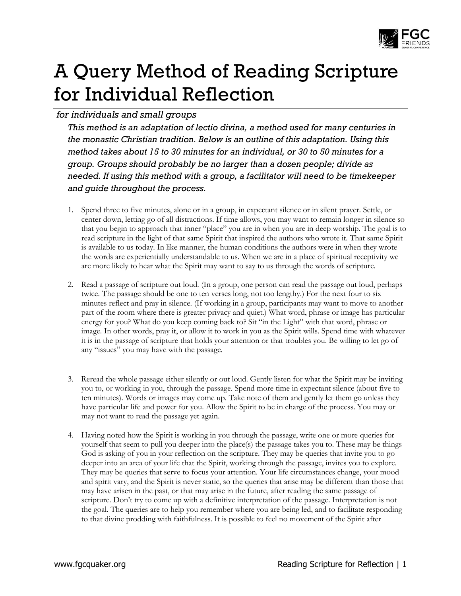

# A Query Method of Reading Scripture for Individual Reflection

## *for individuals and small groups*

*This method is an adaptation of lectio divina, a method used for many centuries in the monastic Christian tradition. Below is an outline of this adaptation. Using this method takes about 15 to 30 minutes for an individual, or 30 to 50 minutes for a group. Groups should probably be no larger than a dozen people; divide as needed. If using this method with a group, a facilitator will need to be timekeeper and guide throughout the process.*

- 1. Spend three to five minutes, alone or in a group, in expectant silence or in silent prayer. Settle, or center down, letting go of all distractions. If time allows, you may want to remain longer in silence so that you begin to approach that inner "place" you are in when you are in deep worship. The goal is to read scripture in the light of that same Spirit that inspired the authors who wrote it. That same Spirit is available to us today. In like manner, the human conditions the authors were in when they wrote the words are experientially understandable to us. When we are in a place of spiritual receptivity we are more likely to hear what the Spirit may want to say to us through the words of scripture.
- 2. Read a passage of scripture out loud. (In a group, one person can read the passage out loud, perhaps twice. The passage should be one to ten verses long, not too lengthy.) For the next four to six minutes reflect and pray in silence. (If working in a group, participants may want to move to another part of the room where there is greater privacy and quiet.) What word, phrase or image has particular energy for you? What do you keep coming back to? Sit "in the Light" with that word, phrase or image. In other words, pray it, or allow it to work in you as the Spirit wills. Spend time with whatever it is in the passage of scripture that holds your attention or that troubles you. Be willing to let go of any "issues" you may have with the passage.
- 3. Reread the whole passage either silently or out loud. Gently listen for what the Spirit may be inviting you to, or working in you, through the passage. Spend more time in expectant silence (about five to ten minutes). Words or images may come up. Take note of them and gently let them go unless they have particular life and power for you. Allow the Spirit to be in charge of the process. You may or may not want to read the passage yet again.
- 4. Having noted how the Spirit is working in you through the passage, write one or more queries for yourself that seem to pull you deeper into the place(s) the passage takes you to. These may be things God is asking of you in your reflection on the scripture. They may be queries that invite you to go deeper into an area of your life that the Spirit, working through the passage, invites you to explore. They may be queries that serve to focus your attention. Your life circumstances change, your mood and spirit vary, and the Spirit is never static, so the queries that arise may be different than those that may have arisen in the past, or that may arise in the future, after reading the same passage of scripture. Don't try to come up with a definitive interpretation of the passage. Interpretation is not the goal. The queries are to help you remember where you are being led, and to facilitate responding to that divine prodding with faithfulness. It is possible to feel no movement of the Spirit after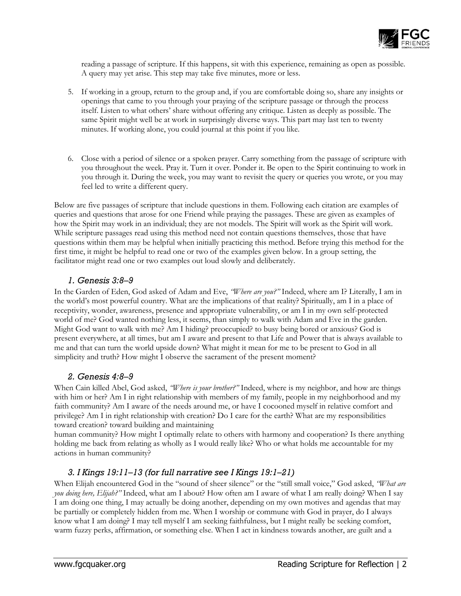

reading a passage of scripture. If this happens, sit with this experience, remaining as open as possible. A query may yet arise. This step may take five minutes, more or less.

- 5. If working in a group, return to the group and, if you are comfortable doing so, share any insights or openings that came to you through your praying of the scripture passage or through the process itself. Listen to what others' share without offering any critique. Listen as deeply as possible. The same Spirit might well be at work in surprisingly diverse ways. This part may last ten to twenty minutes. If working alone, you could journal at this point if you like.
- 6. Close with a period of silence or a spoken prayer. Carry something from the passage of scripture with you throughout the week. Pray it. Turn it over. Ponder it. Be open to the Spirit continuing to work in you through it. During the week, you may want to revisit the query or queries you wrote, or you may feel led to write a different query.

Below are five passages of scripture that include questions in them. Following each citation are examples of queries and questions that arose for one Friend while praying the passages. These are given as examples of how the Spirit may work in an individual; they are not models. The Spirit will work as the Spirit will work. While scripture passages read using this method need not contain questions themselves, those that have questions within them may be helpful when initially practicing this method. Before trying this method for the first time, it might be helpful to read one or two of the examples given below. In a group setting, the facilitator might read one or two examples out loud slowly and deliberately.

#### *1. Genesis 3:8–9*

In the Garden of Eden, God asked of Adam and Eve, *"Where are you?"* Indeed, where am I? Literally, I am in the world's most powerful country. What are the implications of that reality? Spiritually, am I in a place of receptivity, wonder, awareness, presence and appropriate vulnerability, or am I in my own self-protected world of me? God wanted nothing less, it seems, than simply to walk with Adam and Eve in the garden. Might God want to walk with me? Am I hiding? preoccupied? to busy being bored or anxious? God is present everywhere, at all times, but am I aware and present to that Life and Power that is always available to me and that can turn the world upside down? What might it mean for me to be present to God in all simplicity and truth? How might I observe the sacrament of the present moment?

### *2. Genesis 4:8–9*

When Cain killed Abel, God asked, *"Where is your brother?"* Indeed, where is my neighbor, and how are things with him or her? Am I in right relationship with members of my family, people in my neighborhood and my faith community? Am I aware of the needs around me, or have I cocooned myself in relative comfort and privilege? Am I in right relationship with creation? Do I care for the earth? What are my responsibilities toward creation? toward building and maintaining

human community? How might I optimally relate to others with harmony and cooperation? Is there anything holding me back from relating as wholly as I would really like? Who or what holds me accountable for my actions in human community?

### *3. I Kings 19:11–13 (for full narrative see I Kings 19:1–21)*

When Elijah encountered God in the "sound of sheer silence" or the "still small voice," God asked, *"What are you doing here, Elijah?"* Indeed, what am I about? How often am I aware of what I am really doing? When I say I am doing one thing, I may actually be doing another, depending on my own motives and agendas that may be partially or completely hidden from me. When I worship or commune with God in prayer, do I always know what I am doing? I may tell myself I am seeking faithfulness, but I might really be seeking comfort, warm fuzzy perks, affirmation, or something else. When I act in kindness towards another, are guilt and a